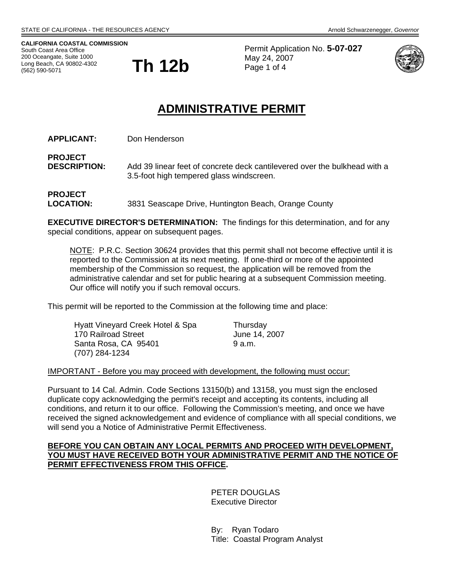**CALIFORNIA COASTAL COMMISSION** South Coast Area Office<br>200 Oceangate, Suite 1000 Long Beach, CA 90802-4302 (562) 590-5071



Permit Application No. **5-07-027** May 24, 2007 Page 1 of 4



# **ADMINISTRATIVE PERMIT**

**APPLICANT:** Don Henderson

**PROJECT DESCRIPTION:** Add 39 linear feet of concrete deck cantilevered over the bulkhead with a 3.5-foot high tempered glass windscreen.

**PROJECT LOCATION:** 3831 Seascape Drive, Huntington Beach, Orange County

**EXECUTIVE DIRECTOR'S DETERMINATION:** The findings for this determination, and for any special conditions, appear on subsequent pages.

NOTE: P.R.C. Section 30624 provides that this permit shall not become effective until it is reported to the Commission at its next meeting. If one-third or more of the appointed membership of the Commission so request, the application will be removed from the administrative calendar and set for public hearing at a subsequent Commission meeting. Our office will notify you if such removal occurs.

This permit will be reported to the Commission at the following time and place:

| Hyatt Vineyard Creek Hotel & Spa | Thursday      |
|----------------------------------|---------------|
| 170 Railroad Street              | June 14, 2007 |
| Santa Rosa, CA 95401             | 9 a.m.        |
| (707) 284-1234                   |               |

#### IMPORTANT - Before you may proceed with development, the following must occur:

Pursuant to 14 Cal. Admin. Code Sections 13150(b) and 13158, you must sign the enclosed duplicate copy acknowledging the permit's receipt and accepting its contents, including all conditions, and return it to our office. Following the Commission's meeting, and once we have received the signed acknowledgement and evidence of compliance with all special conditions, we will send you a Notice of Administrative Permit Effectiveness.

### **BEFORE YOU CAN OBTAIN ANY LOCAL PERMITS AND PROCEED WITH DEVELOPMENT, YOU MUST HAVE RECEIVED BOTH YOUR ADMINISTRATIVE PERMIT AND THE NOTICE OF PERMIT EFFECTIVENESS FROM THIS OFFICE.**

 PETER DOUGLAS Executive Director

 By: Ryan Todaro Title: Coastal Program Analyst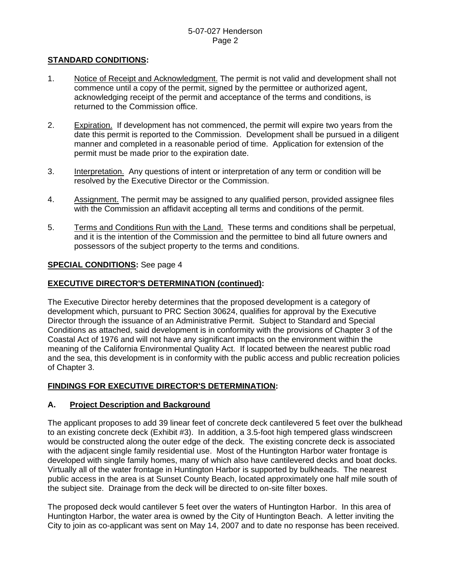### **STANDARD CONDITIONS:**

- 1. Notice of Receipt and Acknowledgment. The permit is not valid and development shall not commence until a copy of the permit, signed by the permittee or authorized agent, acknowledging receipt of the permit and acceptance of the terms and conditions, is returned to the Commission office.
- 2. Expiration. If development has not commenced, the permit will expire two years from the date this permit is reported to the Commission. Development shall be pursued in a diligent manner and completed in a reasonable period of time. Application for extension of the permit must be made prior to the expiration date.
- 3. Interpretation. Any questions of intent or interpretation of any term or condition will be resolved by the Executive Director or the Commission.
- 4. Assignment. The permit may be assigned to any qualified person, provided assignee files with the Commission an affidavit accepting all terms and conditions of the permit.
- 5. Terms and Conditions Run with the Land. These terms and conditions shall be perpetual, and it is the intention of the Commission and the permittee to bind all future owners and possessors of the subject property to the terms and conditions.

### **SPECIAL CONDITIONS:** See page 4

### **EXECUTIVE DIRECTOR'S DETERMINATION (continued):**

The Executive Director hereby determines that the proposed development is a category of development which, pursuant to PRC Section 30624, qualifies for approval by the Executive Director through the issuance of an Administrative Permit. Subject to Standard and Special Conditions as attached, said development is in conformity with the provisions of Chapter 3 of the Coastal Act of 1976 and will not have any significant impacts on the environment within the meaning of the California Environmental Quality Act. If located between the nearest public road and the sea, this development is in conformity with the public access and public recreation policies of Chapter 3.

### **FINDINGS FOR EXECUTIVE DIRECTOR'S DETERMINATION:**

#### **A. Project Description and Background**

The applicant proposes to add 39 linear feet of concrete deck cantilevered 5 feet over the bulkhead to an existing concrete deck (Exhibit #3). In addition, a 3.5-foot high tempered glass windscreen would be constructed along the outer edge of the deck. The existing concrete deck is associated with the adjacent single family residential use. Most of the Huntington Harbor water frontage is developed with single family homes, many of which also have cantilevered decks and boat docks. Virtually all of the water frontage in Huntington Harbor is supported by bulkheads. The nearest public access in the area is at Sunset County Beach, located approximately one half mile south of the subject site. Drainage from the deck will be directed to on-site filter boxes.

The proposed deck would cantilever 5 feet over the waters of Huntington Harbor. In this area of Huntington Harbor, the water area is owned by the City of Huntington Beach. A letter inviting the City to join as co-applicant was sent on May 14, 2007 and to date no response has been received.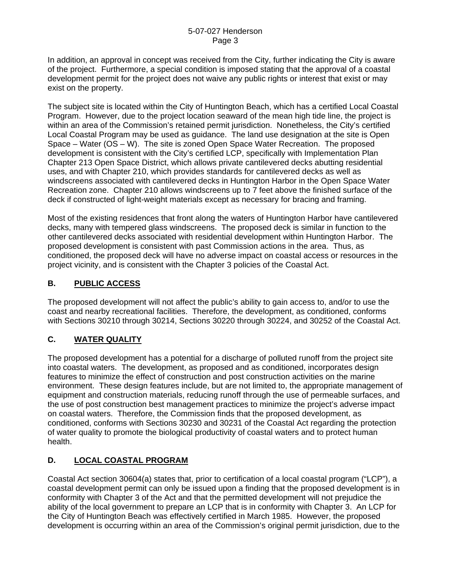In addition, an approval in concept was received from the City, further indicating the City is aware of the project. Furthermore, a special condition is imposed stating that the approval of a coastal development permit for the project does not waive any public rights or interest that exist or may exist on the property.

The subject site is located within the City of Huntington Beach, which has a certified Local Coastal Program. However, due to the project location seaward of the mean high tide line, the project is within an area of the Commission's retained permit jurisdiction. Nonetheless, the City's certified Local Coastal Program may be used as guidance. The land use designation at the site is Open Space – Water (OS – W). The site is zoned Open Space Water Recreation. The proposed development is consistent with the City's certified LCP, specifically with Implementation Plan Chapter 213 Open Space District, which allows private cantilevered decks abutting residential uses, and with Chapter 210, which provides standards for cantilevered decks as well as windscreens associated with cantilevered decks in Huntington Harbor in the Open Space Water Recreation zone. Chapter 210 allows windscreens up to 7 feet above the finished surface of the deck if constructed of light-weight materials except as necessary for bracing and framing.

Most of the existing residences that front along the waters of Huntington Harbor have cantilevered decks, many with tempered glass windscreens. The proposed deck is similar in function to the other cantilevered decks associated with residential development within Huntington Harbor. The proposed development is consistent with past Commission actions in the area. Thus, as conditioned, the proposed deck will have no adverse impact on coastal access or resources in the project vicinity, and is consistent with the Chapter 3 policies of the Coastal Act.

# **B. PUBLIC ACCESS**

The proposed development will not affect the public's ability to gain access to, and/or to use the coast and nearby recreational facilities. Therefore, the development, as conditioned, conforms with Sections 30210 through 30214, Sections 30220 through 30224, and 30252 of the Coastal Act.

# **C. WATER QUALITY**

The proposed development has a potential for a discharge of polluted runoff from the project site into coastal waters. The development, as proposed and as conditioned, incorporates design features to minimize the effect of construction and post construction activities on the marine environment. These design features include, but are not limited to, the appropriate management of equipment and construction materials, reducing runoff through the use of permeable surfaces, and the use of post construction best management practices to minimize the project's adverse impact on coastal waters. Therefore, the Commission finds that the proposed development, as conditioned, conforms with Sections 30230 and 30231 of the Coastal Act regarding the protection of water quality to promote the biological productivity of coastal waters and to protect human health.

# **D. LOCAL COASTAL PROGRAM**

Coastal Act section 30604(a) states that, prior to certification of a local coastal program ("LCP"), a coastal development permit can only be issued upon a finding that the proposed development is in conformity with Chapter 3 of the Act and that the permitted development will not prejudice the ability of the local government to prepare an LCP that is in conformity with Chapter 3. An LCP for the City of Huntington Beach was effectively certified in March 1985. However, the proposed development is occurring within an area of the Commission's original permit jurisdiction, due to the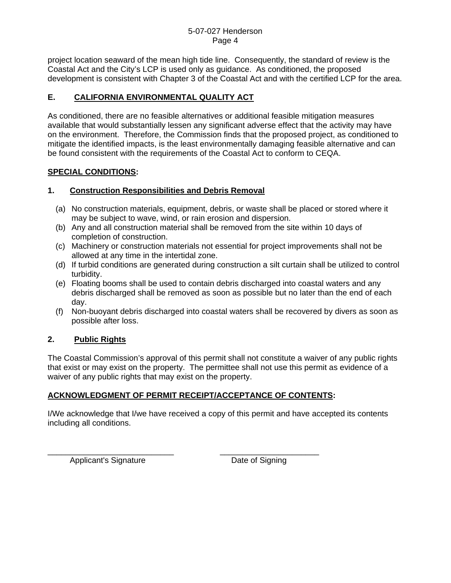project location seaward of the mean high tide line. Consequently, the standard of review is the Coastal Act and the City's LCP is used only as guidance. As conditioned, the proposed development is consistent with Chapter 3 of the Coastal Act and with the certified LCP for the area.

# **E. CALIFORNIA ENVIRONMENTAL QUALITY ACT**

As conditioned, there are no feasible alternatives or additional feasible mitigation measures available that would substantially lessen any significant adverse effect that the activity may have on the environment. Therefore, the Commission finds that the proposed project, as conditioned to mitigate the identified impacts, is the least environmentally damaging feasible alternative and can be found consistent with the requirements of the Coastal Act to conform to CEQA.

### **SPECIAL CONDITIONS:**

### **1. Construction Responsibilities and Debris Removal**

- (a) No construction materials, equipment, debris, or waste shall be placed or stored where it may be subject to wave, wind, or rain erosion and dispersion.
- (b) Any and all construction material shall be removed from the site within 10 days of completion of construction.
- (c) Machinery or construction materials not essential for project improvements shall not be allowed at any time in the intertidal zone.
- (d) If turbid conditions are generated during construction a silt curtain shall be utilized to control turbidity.
- (e) Floating booms shall be used to contain debris discharged into coastal waters and any debris discharged shall be removed as soon as possible but no later than the end of each day.
- (f) Non-buoyant debris discharged into coastal waters shall be recovered by divers as soon as possible after loss.

# **2. Public Rights**

The Coastal Commission's approval of this permit shall not constitute a waiver of any public rights that exist or may exist on the property. The permittee shall not use this permit as evidence of a waiver of any public rights that may exist on the property.

# **ACKNOWLEDGMENT OF PERMIT RECEIPT/ACCEPTANCE OF CONTENTS:**

\_\_\_\_\_\_\_\_\_\_\_\_\_\_\_\_\_\_\_\_\_\_\_\_\_\_\_\_ \_\_\_\_\_\_\_\_\_\_\_\_\_\_\_\_\_\_\_\_\_\_

I/We acknowledge that I/we have received a copy of this permit and have accepted its contents including all conditions.

Applicant's Signature Date of Signing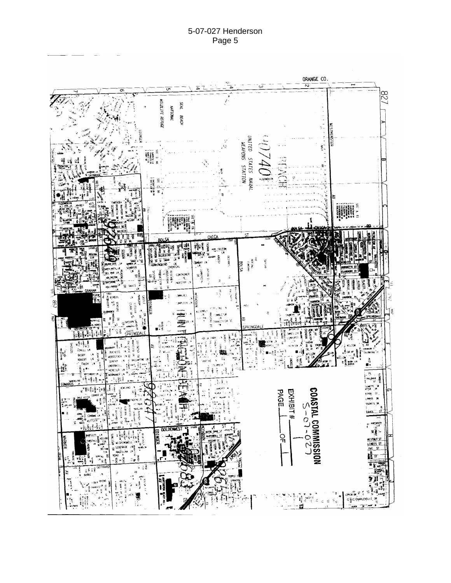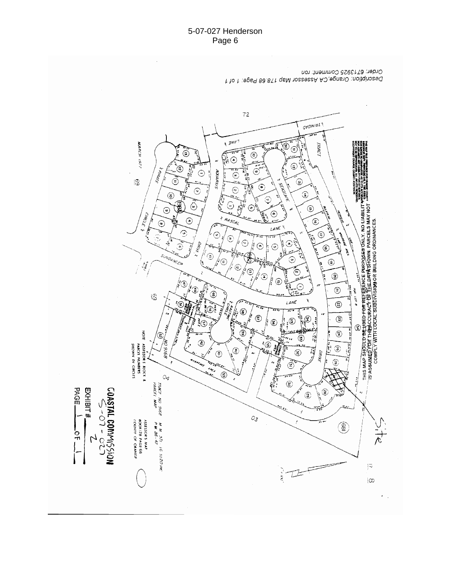